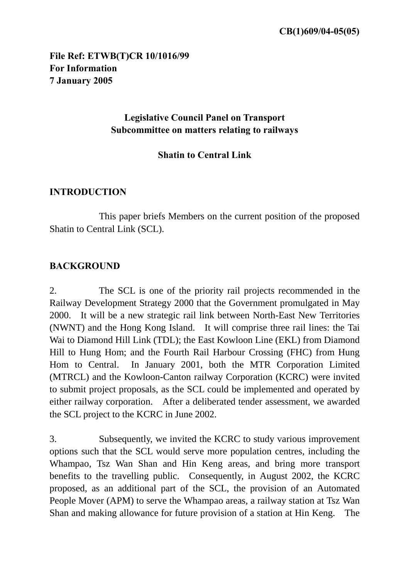## **File Ref: ETWB(T)CR 10/1016/99 For Information 7 January 2005**

## **Legislative Council Panel on Transport Subcommittee on matters relating to railways**

# **Shatin to Central Link**

#### **INTRODUCTION**

 This paper briefs Members on the current position of the proposed Shatin to Central Link (SCL).

## **BACKGROUND**

2. The SCL is one of the priority rail projects recommended in the Railway Development Strategy 2000 that the Government promulgated in May 2000. It will be a new strategic rail link between North-East New Territories (NWNT) and the Hong Kong Island. It will comprise three rail lines: the Tai Wai to Diamond Hill Link (TDL); the East Kowloon Line (EKL) from Diamond Hill to Hung Hom; and the Fourth Rail Harbour Crossing (FHC) from Hung Hom to Central. In January 2001, both the MTR Corporation Limited (MTRCL) and the Kowloon-Canton railway Corporation (KCRC) were invited to submit project proposals, as the SCL could be implemented and operated by either railway corporation. After a deliberated tender assessment, we awarded the SCL project to the KCRC in June 2002.

3. Subsequently, we invited the KCRC to study various improvement options such that the SCL would serve more population centres, including the Whampao, Tsz Wan Shan and Hin Keng areas, and bring more transport benefits to the travelling public. Consequently, in August 2002, the KCRC proposed, as an additional part of the SCL, the provision of an Automated People Mover (APM) to serve the Whampao areas, a railway station at Tsz Wan Shan and making allowance for future provision of a station at Hin Keng. The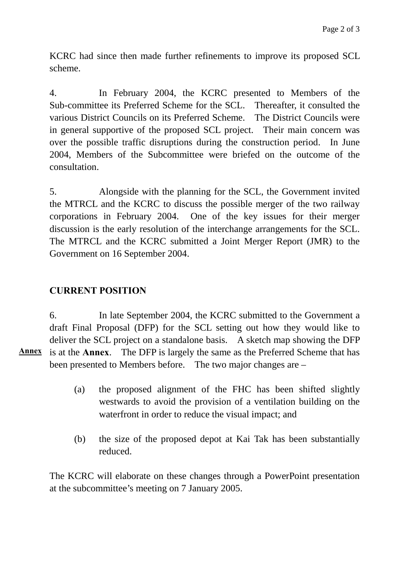KCRC had since then made further refinements to improve its proposed SCL scheme.

4. In February 2004, the KCRC presented to Members of the Sub-committee its Preferred Scheme for the SCL. Thereafter, it consulted the various District Councils on its Preferred Scheme. The District Councils were in general supportive of the proposed SCL project. Their main concern was over the possible traffic disruptions during the construction period. In June 2004, Members of the Subcommittee were briefed on the outcome of the consultation.

5. Alongside with the planning for the SCL, the Government invited the MTRCL and the KCRC to discuss the possible merger of the two railway corporations in February 2004. One of the key issues for their merger discussion is the early resolution of the interchange arrangements for the SCL. The MTRCL and the KCRC submitted a Joint Merger Report (JMR) to the Government on 16 September 2004.

## **CURRENT POSITION**

6. In late September 2004, the KCRC submitted to the Government a draft Final Proposal (DFP) for the SCL setting out how they would like to deliver the SCL project on a standalone basis. A sketch map showing the DFP is at the **Annex**. The DFP is largely the same as the Preferred Scheme that has been presented to Members before. The two major changes are – **Annex**

- (a) the proposed alignment of the FHC has been shifted slightly westwards to avoid the provision of a ventilation building on the waterfront in order to reduce the visual impact; and
- (b) the size of the proposed depot at Kai Tak has been substantially reduced.

The KCRC will elaborate on these changes through a PowerPoint presentation at the subcommittee's meeting on 7 January 2005.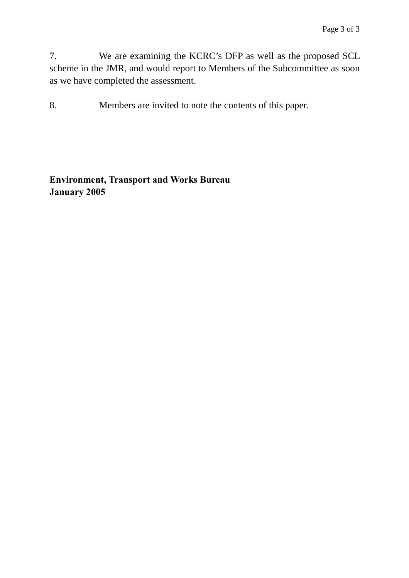7. We are examining the KCRC's DFP as well as the proposed SCL scheme in the JMR, and would report to Members of the Subcommittee as soon as we have completed the assessment.

8. Members are invited to note the contents of this paper.

**Environment, Transport and Works Bureau January 2005**